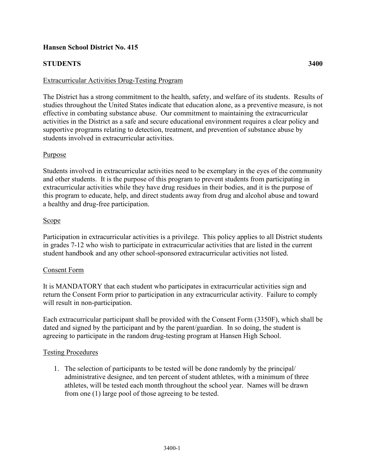## **Hansen School District No. 415**

# **STUDENTS 3400**

### Extracurricular Activities Drug-Testing Program

The District has a strong commitment to the health, safety, and welfare of its students. Results of studies throughout the United States indicate that education alone, as a preventive measure, is not effective in combating substance abuse. Our commitment to maintaining the extracurricular activities in the District as a safe and secure educational environment requires a clear policy and supportive programs relating to detection, treatment, and prevention of substance abuse by students involved in extracurricular activities.

#### **Purpose**

Students involved in extracurricular activities need to be exemplary in the eyes of the community and other students. It is the purpose of this program to prevent students from participating in extracurricular activities while they have drug residues in their bodies, and it is the purpose of this program to educate, help, and direct students away from drug and alcohol abuse and toward a healthy and drug-free participation.

### Scope

Participation in extracurricular activities is a privilege. This policy applies to all District students in grades 7-12 who wish to participate in extracurricular activities that are listed in the current student handbook and any other school-sponsored extracurricular activities not listed.

#### Consent Form

It is MANDATORY that each student who participates in extracurricular activities sign and return the Consent Form prior to participation in any extracurricular activity. Failure to comply will result in non-participation.

Each extracurricular participant shall be provided with the Consent Form (3350F), which shall be dated and signed by the participant and by the parent/guardian. In so doing, the student is agreeing to participate in the random drug-testing program at Hansen High School.

#### Testing Procedures

1. The selection of participants to be tested will be done randomly by the principal/ administrative designee, and ten percent of student athletes, with a minimum of three athletes, will be tested each month throughout the school year. Names will be drawn from one (1) large pool of those agreeing to be tested.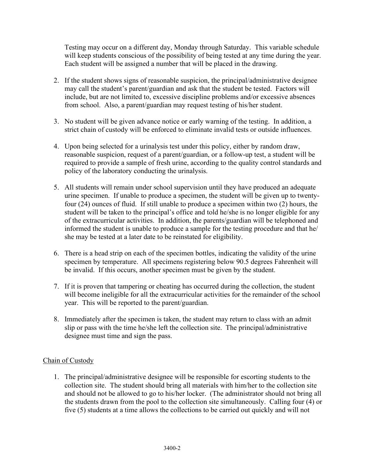Testing may occur on a different day, Monday through Saturday. This variable schedule will keep students conscious of the possibility of being tested at any time during the year. Each student will be assigned a number that will be placed in the drawing.

- 2. If the student shows signs of reasonable suspicion, the principal/administrative designee may call the student's parent/guardian and ask that the student be tested. Factors will include, but are not limited to, excessive discipline problems and/or excessive absences from school. Also, a parent/guardian may request testing of his/her student.
- 3. No student will be given advance notice or early warning of the testing. In addition, a strict chain of custody will be enforced to eliminate invalid tests or outside influences.
- 4. Upon being selected for a urinalysis test under this policy, either by random draw, reasonable suspicion, request of a parent/guardian, or a follow-up test, a student will be required to provide a sample of fresh urine, according to the quality control standards and policy of the laboratory conducting the urinalysis.
- 5. All students will remain under school supervision until they have produced an adequate urine specimen. If unable to produce a specimen, the student will be given up to twentyfour (24) ounces of fluid. If still unable to produce a specimen within two (2) hours, the student will be taken to the principal's office and told he/she is no longer eligible for any of the extracurricular activities. In addition, the parents/guardian will be telephoned and informed the student is unable to produce a sample for the testing procedure and that he/ she may be tested at a later date to be reinstated for eligibility.
- 6. There is a head strip on each of the specimen bottles, indicating the validity of the urine specimen by temperature. All specimens registering below 90.5 degrees Fahrenheit will be invalid. If this occurs, another specimen must be given by the student.
- 7. If it is proven that tampering or cheating has occurred during the collection, the student will become ineligible for all the extracurricular activities for the remainder of the school year. This will be reported to the parent/guardian.
- 8. Immediately after the specimen is taken, the student may return to class with an admit slip or pass with the time he/she left the collection site. The principal/administrative designee must time and sign the pass.

## Chain of Custody

1. The principal/administrative designee will be responsible for escorting students to the collection site. The student should bring all materials with him/her to the collection site and should not be allowed to go to his/her locker. (The administrator should not bring all the students drawn from the pool to the collection site simultaneously. Calling four (4) or five (5) students at a time allows the collections to be carried out quickly and will not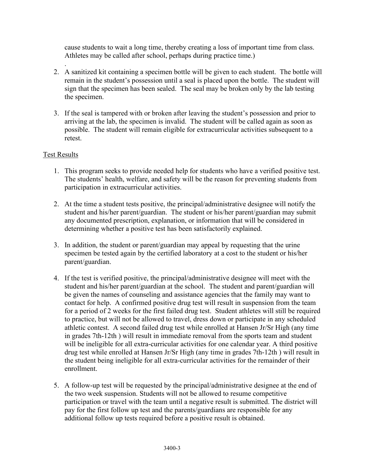cause students to wait a long time, thereby creating a loss of important time from class. Athletes may be called after school, perhaps during practice time.)

- . 2. A sanitized kit containing a specimen bottle will be given to each student. The bottle will remain in the student's possession until a seal is placed upon the bottle. The student will sign that the specimen has been sealed. The seal may be broken only by the lab testing the specimen.
- 3. If the seal is tampered with or broken after leaving the student's possession and prior to arriving at the lab, the specimen is invalid. The student will be called again as soon as possible. The student will remain eligible for extracurricular activities subsequent to a retest.

## Test Results

- 1. This program seeks to provide needed help for students who have a verified positive test. The students' health, welfare, and safety will be the reason for preventing students from participation in extracurricular activities.
- 2. At the time a student tests positive, the principal/administrative designee will notify the student and his/her parent/guardian. The student or his/her parent/guardian may submit any documented prescription, explanation, or information that will be considered in determining whether a positive test has been satisfactorily explained.
- 3. In addition, the student or parent/guardian may appeal by requesting that the urine specimen be tested again by the certified laboratory at a cost to the student or his/her parent/guardian.
- 4. If the test is verified positive, the principal/administrative designee will meet with the student and his/her parent/guardian at the school. The student and parent/guardian will be given the names of counseling and assistance agencies that the family may want to contact for help. A confirmed positive drug test will result in suspension from the team for a period of 2 weeks for the first failed drug test. Student athletes will still be required to practice, but will not be allowed to travel, dress down or participate in any scheduled athletic contest. A second failed drug test while enrolled at Hansen Jr/Sr High (any time in grades 7th-12th ) will result in immediate removal from the sports team and student will be ineligible for all extra-curricular activities for one calendar year. A third positive drug test while enrolled at Hansen Jr/Sr High (any time in grades 7th-12th ) will result in the student being ineligible for all extra-curricular activities for the remainder of their enrollment.
- 5. A follow-up test will be requested by the principal/administrative designee at the end of the two week suspension. Students will not be allowed to resume competitive participation or travel with the team until a negative result is submitted. The district will pay for the first follow up test and the parents/guardians are responsible for any additional follow up tests required before a positive result is obtained.